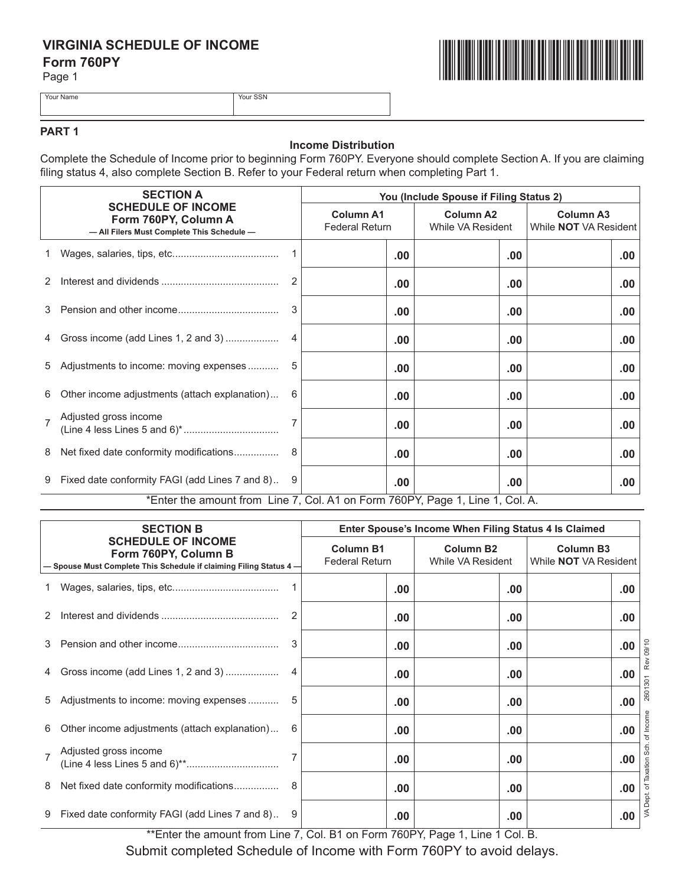## **VIRGINIA SCHEDULE OF INCOME Form 760PY**

Page 1



Your Name Your SSN

# **PART 1**

### **Income Distribution**

Complete the Schedule of Income prior to beginning Form 760PY. Everyone should complete Section A. If you are claiming filing status 4, also complete Section B. Refer to your Federal return when completing Part 1.

|   | <b>SECTION A</b><br><b>SCHEDULE OF INCOME</b><br>Form 760PY, Column A<br>- All Filers Must Complete This Schedule- |   | You (Include Spouse if Filing Status 2)   |                                       |                                                  |  |  |
|---|--------------------------------------------------------------------------------------------------------------------|---|-------------------------------------------|---------------------------------------|--------------------------------------------------|--|--|
|   |                                                                                                                    |   | <b>Column A1</b><br><b>Federal Return</b> | <b>Column A2</b><br>While VA Resident | <b>Column A3</b><br>While <b>NOT</b> VA Resident |  |  |
|   |                                                                                                                    |   | .00                                       | .00                                   | .00                                              |  |  |
| 2 |                                                                                                                    |   | $.00 \,$                                  | .00                                   | .00                                              |  |  |
| 3 |                                                                                                                    |   | $.00 \,$                                  | .00                                   | .00                                              |  |  |
| 4 | Gross income (add Lines 1, 2 and 3)                                                                                |   | .00                                       | .00                                   | .00                                              |  |  |
| 5 | Adjustments to income: moving expenses                                                                             |   | $.00 \,$                                  | $.00 \,$                              | .00.                                             |  |  |
| 6 | Other income adjustments (attach explanation)                                                                      | 6 | .00 <sub>1</sub>                          | .00                                   | .00.                                             |  |  |
|   | Adjusted gross income                                                                                              |   | $.00 \,$                                  | .00                                   | .00                                              |  |  |
| 8 | Net fixed date conformity modifications                                                                            |   | .00                                       | .00                                   | .00                                              |  |  |
|   | 9 Fixed date conformity FAGI (add Lines 7 and 8)                                                                   |   | .00.                                      | .00                                   | .00                                              |  |  |
|   | *Enter the amount from Line 7, Col. A1 on Form 760PY, Page 1, Line 1, Col. A.                                      |   |                                           |                                       |                                                  |  |  |

| <b>SECTION B</b><br><b>SCHEDULE OF INCOME</b><br>Form 760PY, Column B<br>- Spouse Must Complete This Schedule if claiming Filing Status 4- |                                                | Enter Spouse's Income When Filing Status 4 Is Claimed |                                       |                                                  |      |             |
|--------------------------------------------------------------------------------------------------------------------------------------------|------------------------------------------------|-------------------------------------------------------|---------------------------------------|--------------------------------------------------|------|-------------|
|                                                                                                                                            |                                                | <b>Column B1</b><br><b>Federal Return</b>             | <b>Column B2</b><br>While VA Resident | <b>Column B3</b><br>While <b>NOT</b> VA Resident |      |             |
|                                                                                                                                            |                                                |                                                       | .00                                   | .00.                                             | .00  |             |
| 2                                                                                                                                          |                                                |                                                       | .00.                                  | .00                                              | .00  |             |
| 3                                                                                                                                          |                                                |                                                       | .00.                                  | .00.                                             | .00. | 09/10       |
| 4                                                                                                                                          | Gross income (add Lines 1, 2 and 3)            |                                                       | .00                                   | .00                                              | .00  | œ           |
| 5                                                                                                                                          |                                                |                                                       | .00.                                  | .00.                                             | .00. | 2601        |
| 6                                                                                                                                          | Other income adjustments (attach explanation)  | 6                                                     | .00                                   | .00                                              | .00. |             |
|                                                                                                                                            | Adjusted gross income                          |                                                       | .00.                                  | .00                                              | .00  | $rac{5}{6}$ |
| 8                                                                                                                                          |                                                |                                                       | .00.                                  | .00                                              | .00  |             |
| 9                                                                                                                                          | Fixed date conformity FAGI (add Lines 7 and 8) |                                                       | .00                                   | .00.                                             | .00  | ≶           |

\*\*Enter the amount from Line 7, Col. B1 on Form 760PY, Page 1, Line 1 Col. B.

Submit completed Schedule of Income with Form 760PY to avoid delays.